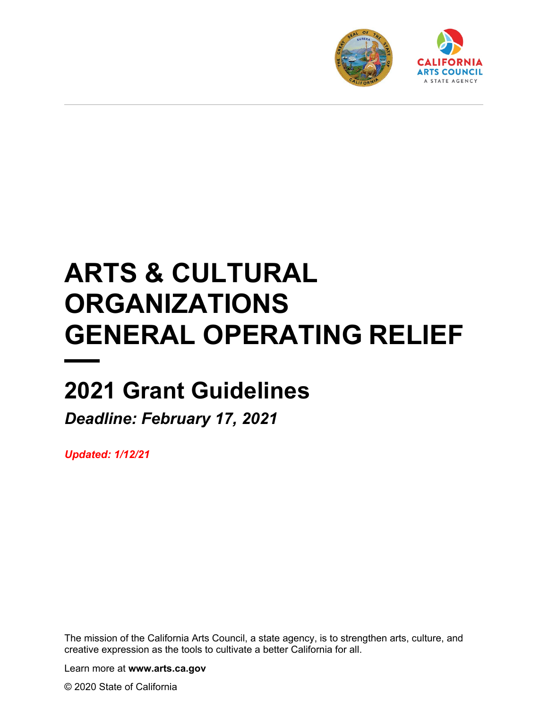



# **ARTS & CULTURAL ORGANIZATIONS GENERAL OPERATING RELIEF**

## **2021 Grant Guidelines**

*Deadline: February 17, 2021* 

*Updated: 1/12/21*

The mission of the California Arts Council, a state agency, is to strengthen arts, culture, and creative expression as the tools to cultivate a better California for all.

Learn more at **www.arts.ca.gov**

© 2020 State of California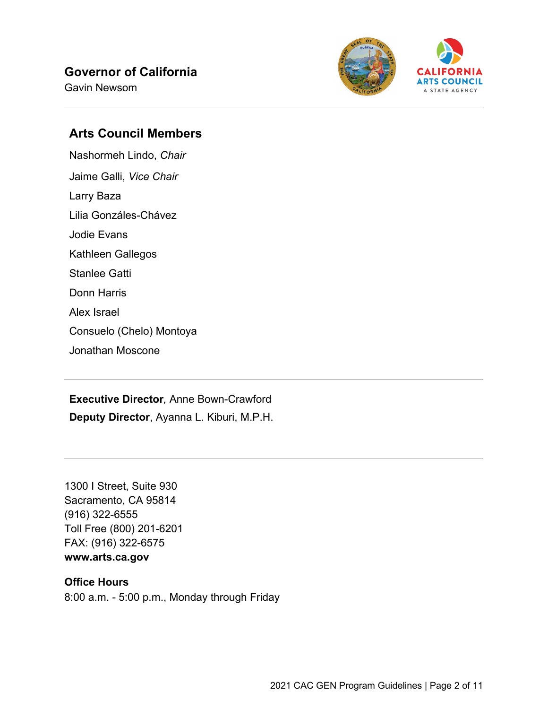#### **Governor of California**

Gavin Newsom



#### **Arts Council Members**

Nashormeh Lindo, *Chair* Jaime Galli, *Vice Chair* Larry Baza Lilia Gonzáles-Chávez Jodie Evans Kathleen Gallegos Stanlee Gatti Donn Harris Alex Israel Consuelo (Chelo) Montoya Jonathan Moscone

**Executive Director***,* Anne Bown-Crawford **Deputy Director**, Ayanna L. Kiburi, M.P.H.

1300 I Street, Suite 930 Sacramento, CA 95814 (916) 322-6555 Toll Free (800) 201-6201 FAX: (916) 322-6575

#### **www.arts.ca.gov**

#### **Office Hours**

8:00 a.m. - 5:00 p.m., Monday through Friday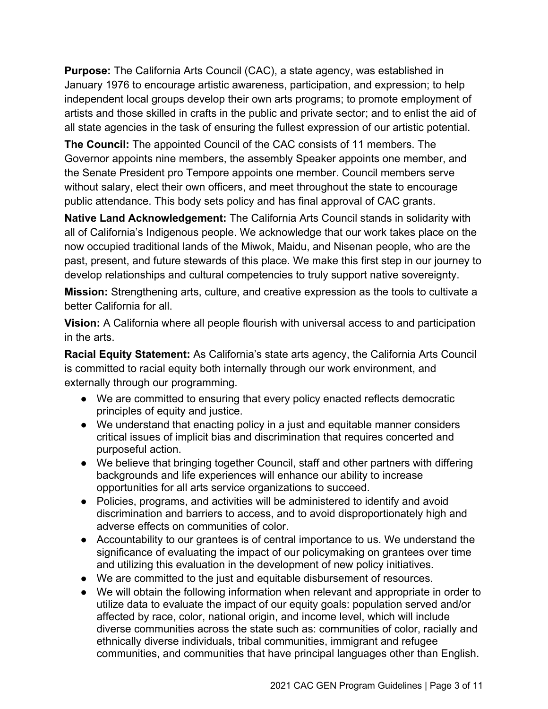**Purpose:** The California Arts Council (CAC), a state agency, was established in January 1976 to encourage artistic awareness, participation, and expression; to help independent local groups develop their own arts programs; to promote employment of artists and those skilled in crafts in the public and private sector; and to enlist the aid of all state agencies in the task of ensuring the fullest expression of our artistic potential.

**The Council:** The appointed Council of the CAC consists of 11 members. The Governor appoints nine members, the assembly Speaker appoints one member, and the Senate President pro Tempore appoints one member. Council members serve without salary, elect their own officers, and meet throughout the state to encourage public attendance. This body sets policy and has final approval of CAC grants.

**Native Land Acknowledgement:** The California Arts Council stands in solidarity with all of California's Indigenous people. We acknowledge that our work takes place on the now occupied traditional lands of the Miwok, Maidu, and Nisenan people, who are the past, present, and future stewards of this place. We make this first step in our journey to develop relationships and cultural competencies to truly support native sovereignty.

**Mission:** Strengthening arts, culture, and creative expression as the tools to cultivate a better California for all.

**Vision:** A California where all people flourish with universal access to and participation in the arts.

**Racial Equity Statement:** As California's state arts agency, the California Arts Council is committed to racial equity both internally through our work environment, and externally through our programming.

- We are committed to ensuring that every policy enacted reflects democratic principles of equity and justice.
- We understand that enacting policy in a just and equitable manner considers critical issues of implicit bias and discrimination that requires concerted and purposeful action.
- We believe that bringing together Council, staff and other partners with differing backgrounds and life experiences will enhance our ability to increase opportunities for all arts service organizations to succeed.
- Policies, programs, and activities will be administered to identify and avoid discrimination and barriers to access, and to avoid disproportionately high and adverse effects on communities of color.
- Accountability to our grantees is of central importance to us. We understand the significance of evaluating the impact of our policymaking on grantees over time and utilizing this evaluation in the development of new policy initiatives.
- We are committed to the just and equitable disbursement of resources.
- We will obtain the following information when relevant and appropriate in order to utilize data to evaluate the impact of our equity goals: population served and/or affected by race, color, national origin, and income level, which will include diverse communities across the state such as: communities of color, racially and ethnically diverse individuals, tribal communities, immigrant and refugee communities, and communities that have principal languages other than English.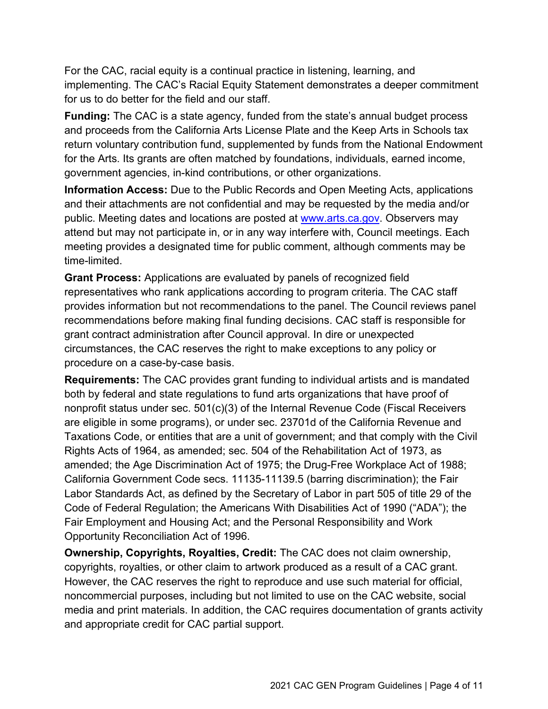For the CAC, racial equity is a continual practice in listening, learning, and implementing. The CAC's Racial Equity Statement demonstrates a deeper commitment for us to do better for the field and our staff.

**Funding:** The CAC is a state agency, funded from the state's annual budget process and proceeds from the California Arts License Plate and the Keep Arts in Schools tax return voluntary contribution fund, supplemented by funds from the National Endowment for the Arts. Its grants are often matched by foundations, individuals, earned income, government agencies, in-kind contributions, or other organizations.

**Information Access:** Due to the Public Records and Open Meeting Acts, applications and their attachments are not confidential and may be requested by the media and/or public. Meeting dates and locations are posted at [www.arts.ca.gov.](http://www.arts.ca.gov/) Observers may attend but may not participate in, or in any way interfere with, Council meetings. Each meeting provides a designated time for public comment, although comments may be time-limited.

**Grant Process:** Applications are evaluated by panels of recognized field representatives who rank applications according to program criteria. The CAC staff provides information but not recommendations to the panel. The Council reviews panel recommendations before making final funding decisions. CAC staff is responsible for grant contract administration after Council approval. In dire or unexpected circumstances, the CAC reserves the right to make exceptions to any policy or procedure on a case-by-case basis.

**Requirements:** The CAC provides grant funding to individual artists and is mandated both by federal and state regulations to fund arts organizations that have proof of nonprofit status under sec. 501(c)(3) of the Internal Revenue Code (Fiscal Receivers are eligible in some programs), or under sec. 23701d of the California Revenue and Taxations Code, or entities that are a unit of government; and that comply with the Civil Rights Acts of 1964, as amended; sec. 504 of the Rehabilitation Act of 1973, as amended; the Age Discrimination Act of 1975; the Drug-Free Workplace Act of 1988; California Government Code secs. 11135-11139.5 (barring discrimination); the Fair Labor Standards Act, as defined by the Secretary of Labor in part 505 of title 29 of the Code of Federal Regulation; the Americans With Disabilities Act of 1990 ("ADA"); the Fair Employment and Housing Act; and the Personal Responsibility and Work Opportunity Reconciliation Act of 1996.

**Ownership, Copyrights, Royalties, Credit:** The CAC does not claim ownership, copyrights, royalties, or other claim to artwork produced as a result of a CAC grant. However, the CAC reserves the right to reproduce and use such material for official, noncommercial purposes, including but not limited to use on the CAC website, social media and print materials. In addition, the CAC requires documentation of grants activity and appropriate credit for CAC partial support.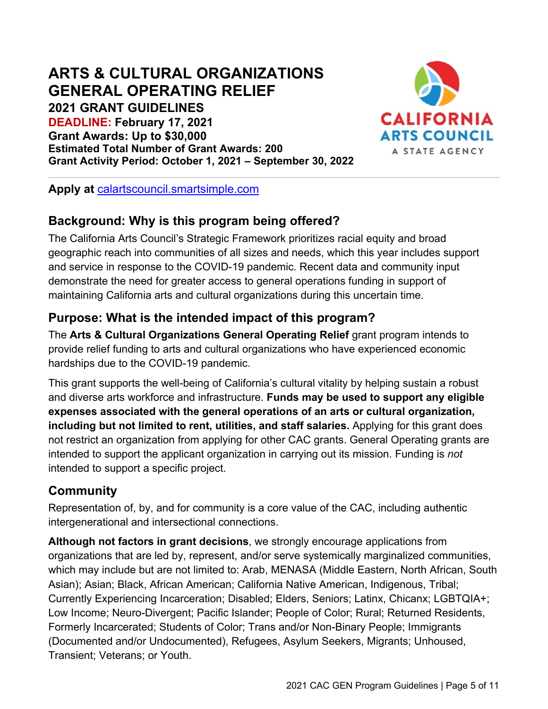## **ARTS & CULTURAL ORGANIZATIONS GENERAL OPERATING RELIEF**

**2021 GRANT GUIDELINES**

**DEADLINE: February 17, 2021 Grant Awards: Up to \$30,000 Estimated Total Number of Grant Awards: 200 Grant Activity Period: October 1, 2021 – September 30, 2022**



**Apply at** [calartscouncil.smartsimple.com](https://calartscouncil.smartsimple.com/)

## **Background: Why is this program being offered?**

The California Arts Council's Strategic Framework prioritizes racial equity and broad geographic reach into communities of all sizes and needs, which this year includes support and service in response to the COVID-19 pandemic. Recent data and community input demonstrate the need for greater access to general operations funding in support of maintaining California arts and cultural organizations during this uncertain time.

## **Purpose: What is the intended impact of this program?**

The **Arts & Cultural Organizations General Operating Relief** grant program intends to provide relief funding to arts and cultural organizations who have experienced economic hardships due to the COVID-19 pandemic.

This grant supports the well-being of California's cultural vitality by helping sustain a robust and diverse arts workforce and infrastructure. **Funds may be used to support any eligible expenses associated with the general operations of an arts or cultural organization, including but not limited to rent, utilities, and staff salaries.** Applying for this grant does not restrict an organization from applying for other CAC grants. General Operating grants are intended to support the applicant organization in carrying out its mission. Funding is *not* intended to support a specific project.

## **Community**

Representation of, by, and for community is a core value of the CAC, including authentic intergenerational and intersectional connections.

**Although not factors in grant decisions**, we strongly encourage applications from organizations that are led by, represent, and/or serve systemically marginalized communities, which may include but are not limited to: Arab, MENASA (Middle Eastern, North African, South Asian); Asian; Black, African American; California Native American, Indigenous, Tribal; Currently Experiencing Incarceration; Disabled; Elders, Seniors; Latinx, Chicanx; LGBTQIA+; Low Income; Neuro-Divergent; Pacific Islander; People of Color; Rural; Returned Residents, Formerly Incarcerated; Students of Color; Trans and/or Non-Binary People; Immigrants (Documented and/or Undocumented), Refugees, Asylum Seekers, Migrants; Unhoused, Transient; Veterans; or Youth.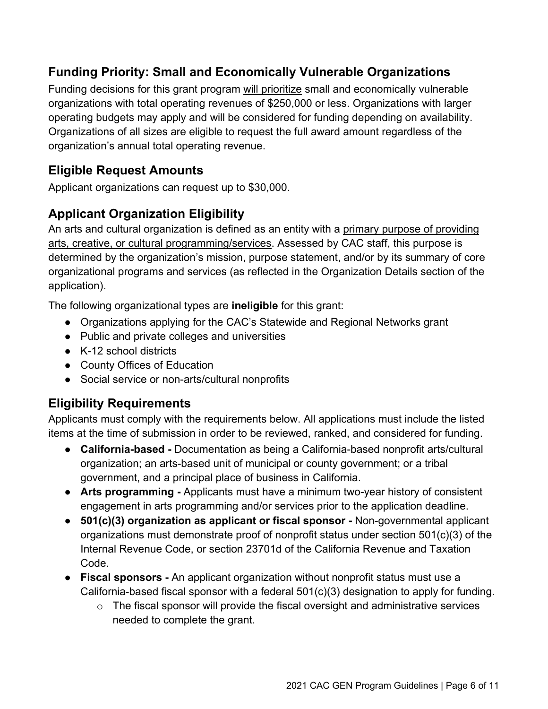## **Funding Priority: Small and Economically Vulnerable Organizations**

Funding decisions for this grant program will prioritize small and economically vulnerable organizations with total operating revenues of \$250,000 or less. Organizations with larger operating budgets may apply and will be considered for funding depending on availability. Organizations of all sizes are eligible to request the full award amount regardless of the organization's annual total operating revenue.

#### **Eligible Request Amounts**

Applicant organizations can request up to \$30,000.

## **Applicant Organization Eligibility**

An arts and cultural organization is defined as an entity with a primary purpose of providing arts, creative, or cultural programming/services. Assessed by CAC staff, this purpose is determined by the organization's mission, purpose statement, and/or by its summary of core organizational programs and services (as reflected in the Organization Details section of the application).

The following organizational types are **ineligible** for this grant:

- Organizations applying for the CAC's Statewide and Regional Networks grant
- Public and private colleges and universities
- K-12 school districts
- County Offices of Education
- Social service or non-arts/cultural nonprofits

## **Eligibility Requirements**

Applicants must comply with the requirements below. All applications must include the listed items at the time of submission in order to be reviewed, ranked, and considered for funding.

- **California-based** Documentation as being a California-based nonprofit arts/cultural organization; an arts-based unit of municipal or county government; or a tribal government, and a principal place of business in California.
- **Arts programming -** Applicants must have a minimum two-year history of consistent engagement in arts programming and/or services prior to the application deadline.
- **501(c)(3) organization as applicant or fiscal sponsor** Non-governmental applicant organizations must demonstrate proof of nonprofit status under section 501(c)(3) of the Internal Revenue Code, or section 23701d of the California Revenue and Taxation Code.
- **Fiscal sponsors -** An applicant organization without nonprofit status must use a California-based fiscal sponsor with a federal 501(c)(3) designation to apply for funding.
	- $\circ$  The fiscal sponsor will provide the fiscal oversight and administrative services needed to complete the grant.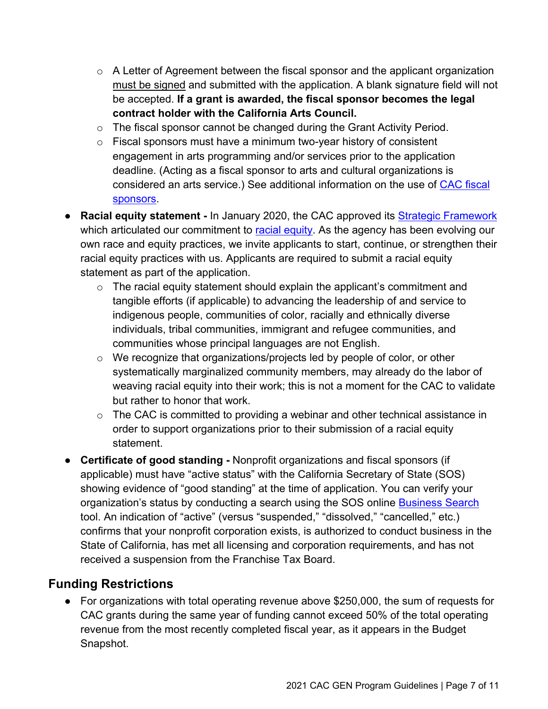- $\circ$  A Letter of Agreement between the fiscal sponsor and the applicant organization must be signed and submitted with the application. A blank signature field will not be accepted. **If a grant is awarded, the fiscal sponsor becomes the legal contract holder with the California Arts Council.**
- o The fiscal sponsor cannot be changed during the Grant Activity Period.
- $\circ$  Fiscal sponsors must have a minimum two-year history of consistent engagement in arts programming and/or services prior to the application deadline. (Acting as a fiscal sponsor to arts and cultural organizations is considered an arts service.) See additional information on the use of [CAC fiscal](https://arts.ca.gov/wp-content/uploads/2020/11/CAC_2021FiscalSponsorPolicy.pdf)  [sponsors.](https://arts.ca.gov/wp-content/uploads/2020/11/CAC_2021FiscalSponsorPolicy.pdf)
- **Racial equity [s](http://www.arts.ca.gov/aboutus/strategicframework.php)tatement -** In January 2020, the CAC approved its **[Strategic Framework](https://arts.ca.gov/about/how-we-think/)** which a[r](http://www.arts.ca.gov/aboutus/racialequity.php)ticulated our commitment to racial [equity.](https://arts.ca.gov/about/racial-equity-statement/) As the agency has been evolving our own race and equity practices, we invite applicants to start, continue, or strengthen their racial equity practices with us. Applicants are required to submit a racial equity statement as part of the application.
	- $\circ$  The racial equity statement should explain the applicant's commitment and tangible efforts (if applicable) to advancing the leadership of and service to indigenous people, communities of color, racially and ethnically diverse individuals, tribal communities, immigrant and refugee communities, and communities whose principal languages are not English.
	- o We recognize that organizations/projects led by people of color, or other systematically marginalized community members, may already do the labor of weaving racial equity into their work; this is not a moment for the CAC to validate but rather to honor that work.
	- $\circ$  The CAC is committed to providing a webinar and other technical assistance in order to support organizations prior to their submission of a racial equity statement.
- **Certificate of good standing -** Nonprofit organizations and fiscal sponsors (if applicable) must have "active status" with the California Secretary of State (SOS) showing evidence of "good standing" at the time of application. You can verify your organization's status by conducting a search using the SOS online [Business Search](https://businesssearch.sos.ca.gov/) tool. An indication of "active" (versus "suspended," "dissolved," "cancelled," etc.) confirms that your nonprofit corporation exists, is authorized to conduct business in the State of California, has met all licensing and corporation requirements, and has not received a suspension from the Franchise Tax Board.

#### **Funding Restrictions**

● For organizations with total operating revenue above \$250,000, the sum of requests for CAC grants during the same year of funding cannot exceed 50% of the total operating revenue from the most recently completed fiscal year, as it appears in the Budget Snapshot.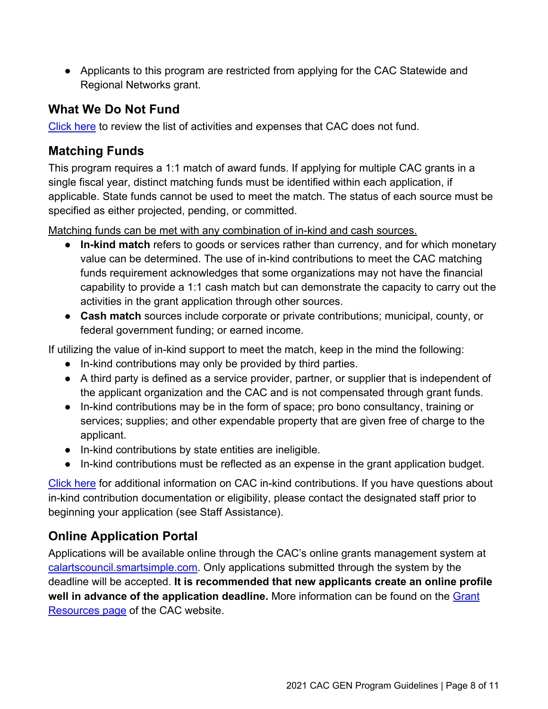● Applicants to this program are restricted from applying for the CAC Statewide and Regional Networks grant.

#### **What We Do Not Fund**

[Click here](https://arts.ca.gov/wp-content/uploads/2020/11/CAC_2021_WhatDoNotFund.pdf) to review the list of activities and expenses that CAC does not fund.

#### **Matching Funds**

This program requires a 1:1 match of award funds. If applying for multiple CAC grants in a single fiscal year, distinct matching funds must be identified within each application, if applicable. State funds cannot be used to meet the match. The status of each source must be specified as either projected, pending, or committed.

Matching funds can be met with any combination of in-kind and cash sources.

- **In-kind match** refers to goods or services rather than currency, and for which monetary value can be determined. The use of in-kind contributions to meet the CAC matching funds requirement acknowledges that some organizations may not have the financial capability to provide a 1:1 cash match but can demonstrate the capacity to carry out the activities in the grant application through other sources.
- **Cash match** sources include corporate or private contributions; municipal, county, or federal government funding; or earned income.

If utilizing the value of in-kind support to meet the match, keep in the mind the following:

- In-kind contributions may only be provided by third parties.
- A third party is defined as a service provider, partner, or supplier that is independent of the applicant organization and the CAC and is not compensated through grant funds.
- In-kind contributions may be in the form of space; pro bono consultancy, training or services; supplies; and other expendable property that are given free of charge to the applicant.
- In-kind contributions by state entities are ineligible.
- In-kind contributions must be reflected as an expense in the grant application budget.

[Click here](https://arts.ca.gov/wp-content/uploads/2020/12/CAC_2021_InKind.pdf) for additional information on CAC in-kind contributions. If you have questions about in-kind contribution documentation or eligibility, please contact the designated staff prior to beginning your application (see Staff Assistance).

## **Online Application Portal**

Applications will be available online through the CAC's online grants management system at [calartscouncil.smartsimple.com.](https://calartscouncil.smartsimple.com/s_Login.jsp) Only applications submitted through the system by the deadline will be accepted. **It is recommended that new applicants create an online profile well in advance of the application deadline.** More information can be found on the [Grant](https://arts.ca.gov/grants/resources/) [Resources page](https://arts.ca.gov/grants/resources/) of the CAC website.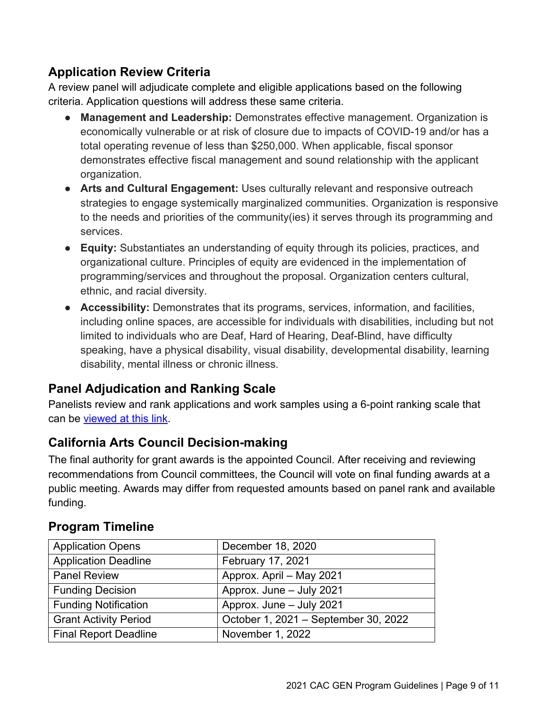## **Application Review Criteria**

A review panel will adjudicate complete and eligible applications based on the following criteria. Application questions will address these same criteria.

- **Management and Leadership:** Demonstrates effective management. Organization is economically vulnerable or at risk of closure due to impacts of COVID-19 and/or has a total operating revenue of less than \$250,000. When applicable, fiscal sponsor demonstrates effective fiscal management and sound relationship with the applicant organization.
- **Arts and Cultural Engagement:** Uses culturally relevant and responsive outreach strategies to engage systemically marginalized communities. Organization is responsive to the needs and priorities of the community(ies) it serves through its programming and services.
- **Equity:** Substantiates an understanding of equity through its policies, practices, and organizational culture. Principles of equity are evidenced in the implementation of programming/services and throughout the proposal. Organization centers cultural, ethnic, and racial diversity.
- **Accessibility:** Demonstrates that its programs, services, information, and facilities, including online spaces, are accessible for individuals with disabilities, including but not limited to individuals who are Deaf, Hard of Hearing, Deaf-Blind, have difficulty speaking, have a physical disability, visual disability, developmental disability, learning disability, mental illness or chronic illness.

## **Panel Adjudication and Ranking Scale**

Panelists review and rank applications and work samples using a 6-point ranking scale that can be [viewed at this link.](https://arts.ca.gov/wp-content/uploads/2020/11/CAC_2021_RankingGuide.pdf)

#### **California Arts Council Decision-making**

The final authority for grant awards is the appointed Council. After receiving and reviewing recommendations from Council committees, the Council will vote on final funding awards at a public meeting. Awards may differ from requested amounts based on panel rank and available funding.

| <b>Application Opens</b>     | December 18, 2020                    |
|------------------------------|--------------------------------------|
| <b>Application Deadline</b>  | February 17, 2021                    |
| <b>Panel Review</b>          | Approx. April - May 2021             |
| <b>Funding Decision</b>      | Approx. June - July 2021             |
| <b>Funding Notification</b>  | Approx. June - July 2021             |
| <b>Grant Activity Period</b> | October 1, 2021 - September 30, 2022 |
| Final Report Deadline        | November 1, 2022                     |

#### **Program Timeline**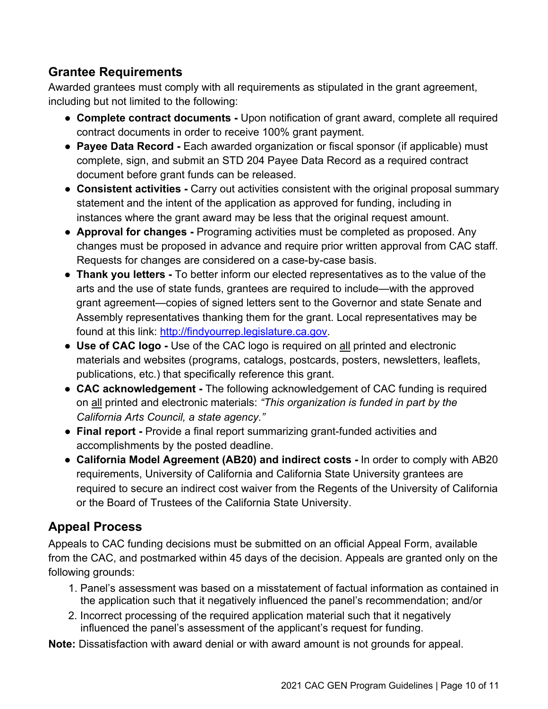#### **Grantee Requirements**

Awarded grantees must comply with all requirements as stipulated in the grant agreement, including but not limited to the following:

- **Complete contract documents -** Upon notification of grant award, complete all required contract documents in order to receive 100% grant payment.
- **Payee Data Record** Each awarded organization or fiscal sponsor (if applicable) must complete, sign, and submit an STD 204 Payee Data Record as a required contract document before grant funds can be released.
- **Consistent activities -** Carry out activities consistent with the original proposal summary statement and the intent of the application as approved for funding, including in instances where the grant award may be less that the original request amount.
- **Approval for changes -** Programing activities must be completed as proposed. Any changes must be proposed in advance and require prior written approval from CAC staff. Requests for changes are considered on a case-by-case basis.
- **Thank you letters -** To better inform our elected representatives as to the value of the arts and the use of state funds, grantees are required to include—with the approved grant agreement—copies of signed letters sent to the Governor and state Senate and Assembly representatives thanking them for the grant. Local representatives may be found at this link: [http://findyourrep.legislature.ca.gov.](http://findyourrep.legislature.ca.gov/)
- **Use of CAC logo -** Use of the CAC logo is required on all printed and electronic materials and websites (programs, catalogs, postcards, posters, newsletters, leaflets, publications, etc.) that specifically reference this grant.
- **CAC acknowledgement -** The following acknowledgement of CAC funding is required on all printed and electronic materials: *"This organization is funded in part by the California Arts Council, a state agency."*
- **Final report -** Provide a final report summarizing grant-funded activities and accomplishments by the posted deadline.
- **California Model Agreement (AB20) and indirect costs -** In order to comply with AB20 requirements, University of California and California State University grantees are required to secure an indirect cost waiver from the Regents of the University of California or the Board of Trustees of the California State University.

## **Appeal Process**

Appeals to CAC funding decisions must be submitted on an official Appeal Form, available from the CAC, and postmarked within 45 days of the decision. Appeals are granted only on the following grounds:

- 1. Panel's assessment was based on a misstatement of factual information as contained in the application such that it negatively influenced the panel's recommendation; and/or
- 2. Incorrect processing of the required application material such that it negatively influenced the panel's assessment of the applicant's request for funding.

**Note:** Dissatisfaction with award denial or with award amount is not grounds for appeal.